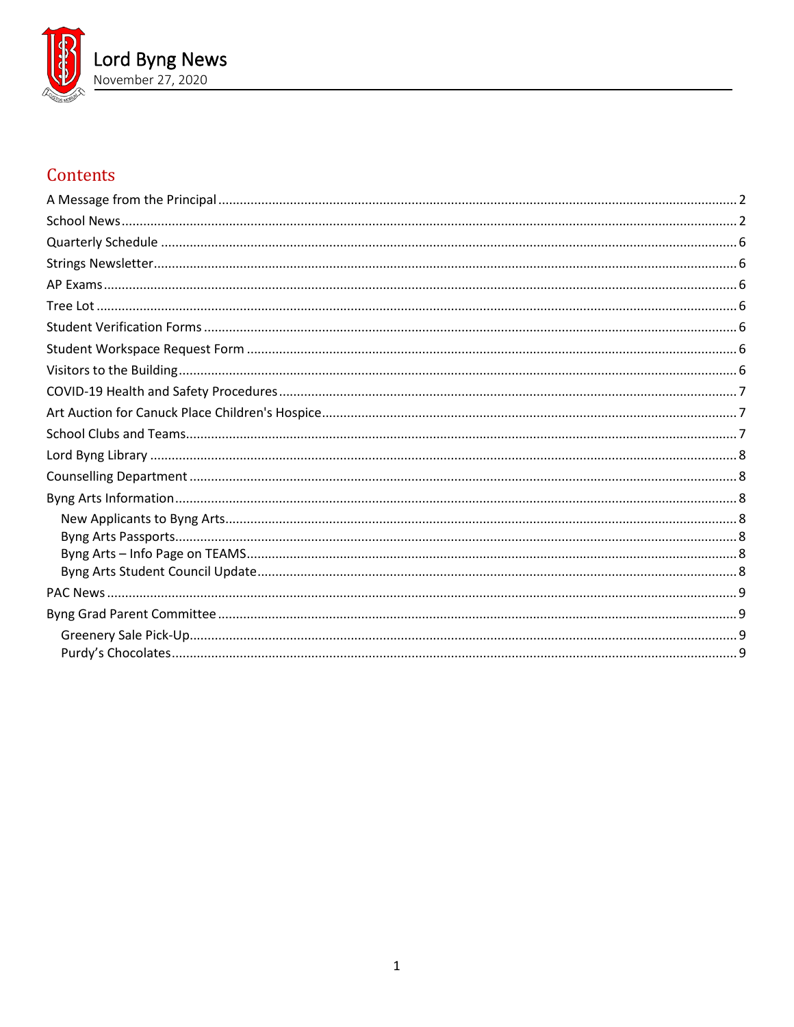

# Contents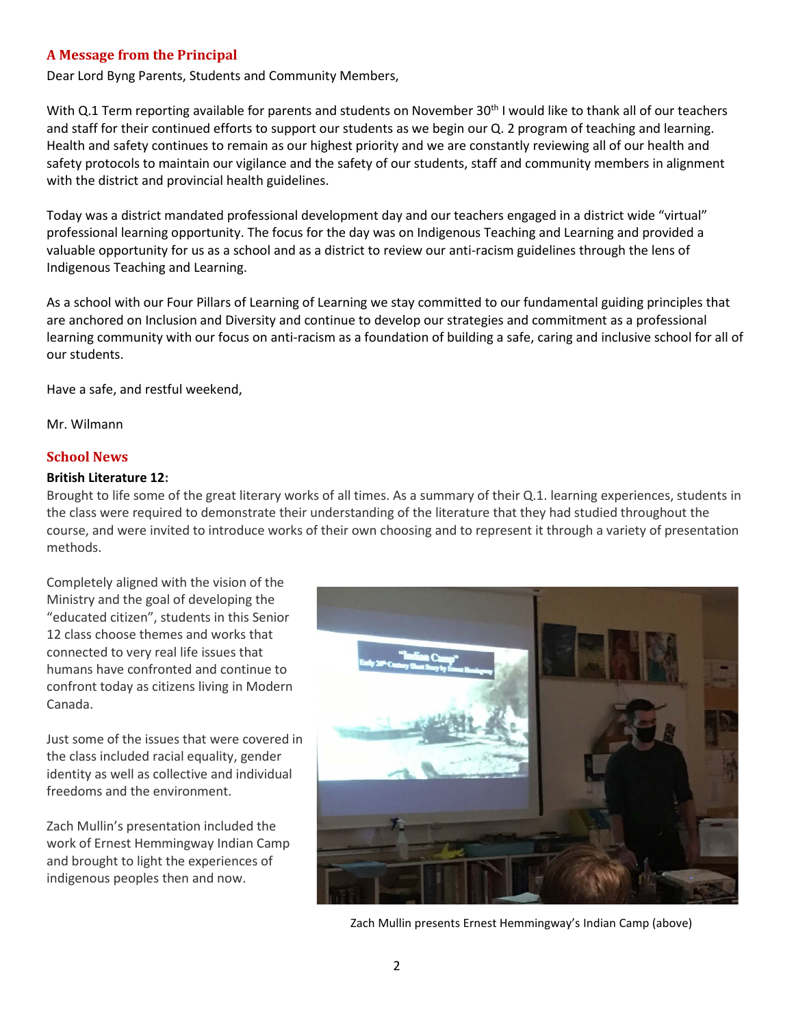## <span id="page-1-0"></span>**A Message from the Principal**

Dear Lord Byng Parents, Students and Community Members,

With Q.1 Term reporting available for parents and students on November 30<sup>th</sup> I would like to thank all of our teachers and staff for their continued efforts to support our students as we begin our Q. 2 program of teaching and learning. Health and safety continues to remain as our highest priority and we are constantly reviewing all of our health and safety protocols to maintain our vigilance and the safety of our students, staff and community members in alignment with the district and provincial health guidelines.

Today was a district mandated professional development day and our teachers engaged in a district wide "virtual" professional learning opportunity. The focus for the day was on Indigenous Teaching and Learning and provided a valuable opportunity for us as a school and as a district to review our anti-racism guidelines through the lens of Indigenous Teaching and Learning.

As a school with our Four Pillars of Learning of Learning we stay committed to our fundamental guiding principles that are anchored on Inclusion and Diversity and continue to develop our strategies and commitment as a professional learning community with our focus on anti-racism as a foundation of building a safe, caring and inclusive school for all of our students.

Have a safe, and restful weekend,

<span id="page-1-1"></span>Mr. Wilmann

#### **School News**

#### **British Literature 12:**

Brought to life some of the great literary works of all times. As a summary of their Q.1. learning experiences, students in the class were required to demonstrate their understanding of the literature that they had studied throughout the course, and were invited to introduce works of their own choosing and to represent it through a variety of presentation methods.

Completely aligned with the vision of the Ministry and the goal of developing the "educated citizen", students in this Senior 12 class choose themes and works that connected to very real life issues that humans have confronted and continue to confront today as citizens living in Modern Canada.

Just some of the issues that were covered in the class included racial equality, gender identity as well as collective and individual freedoms and the environment.

Zach Mullin's presentation included the work of Ernest Hemmingway Indian Camp and brought to light the experiences of indigenous peoples then and now.



Zach Mullin presents Ernest Hemmingway's Indian Camp (above)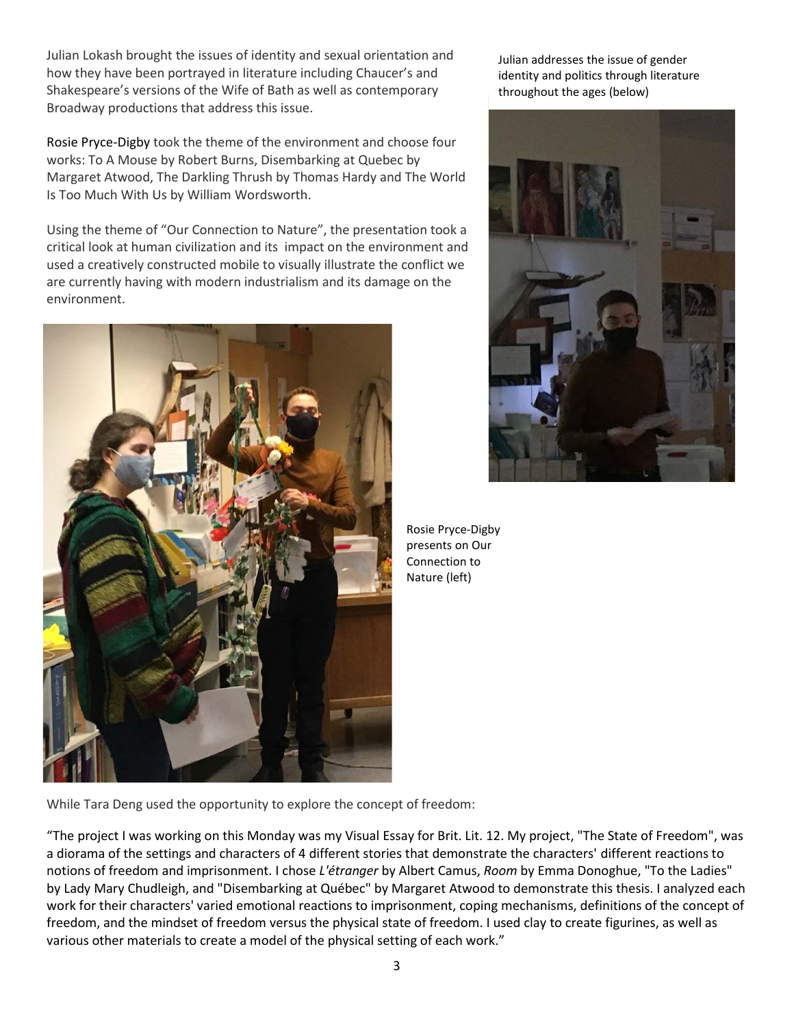Julian Lokash brought the issues of identity and sexual orientation and how they have been portrayed in literature including Chaucer's and Shakespeare's versions of the Wife of Bath as well as contemporary Broadway productions that address this issue.

Rosie Pryce-Digby took the theme of the environment and choose four works: To A Mouse by Robert Burns, Disembarking at Quebec by Margaret Atwood, The Darkling Thrush by Thomas Hardy and The World Is Too Much With Us by William Wordsworth.

Using the theme of "Our Connection to Nature", the presentation took a critical look at human civilization and its impact on the environment and used a creatively constructed mobile to visually illustrate the conflict we are currently having with modern industrialism and its damage on the environment.



Julian addresses the issue of gender identity and politics through literature throughout the ages (below)



Rosie Pryce-Digby presents on Our Connection to Nature (left)

While Tara Deng used the opportunity to explore the concept of freedom:

"The project I was working on this Monday was my Visual Essay for Brit. Lit. 12. My project, "The State of Freedom", was a diorama of the settings and characters of 4 different stories that demonstrate the characters' different reactions to notions of freedom and imprisonment. I chose *L'étranger* by Albert Camus, *Room* by Emma Donoghue, "To the Ladies" by Lady Mary Chudleigh, and "Disembarking at Québec" by Margaret Atwood to demonstrate this thesis. I analyzed each work for their characters' varied emotional reactions to imprisonment, coping mechanisms, definitions of the concept of freedom, and the mindset of freedom versus the physical state of freedom. I used clay to create figurines, as well as various other materials to create a model of the physical setting of each work."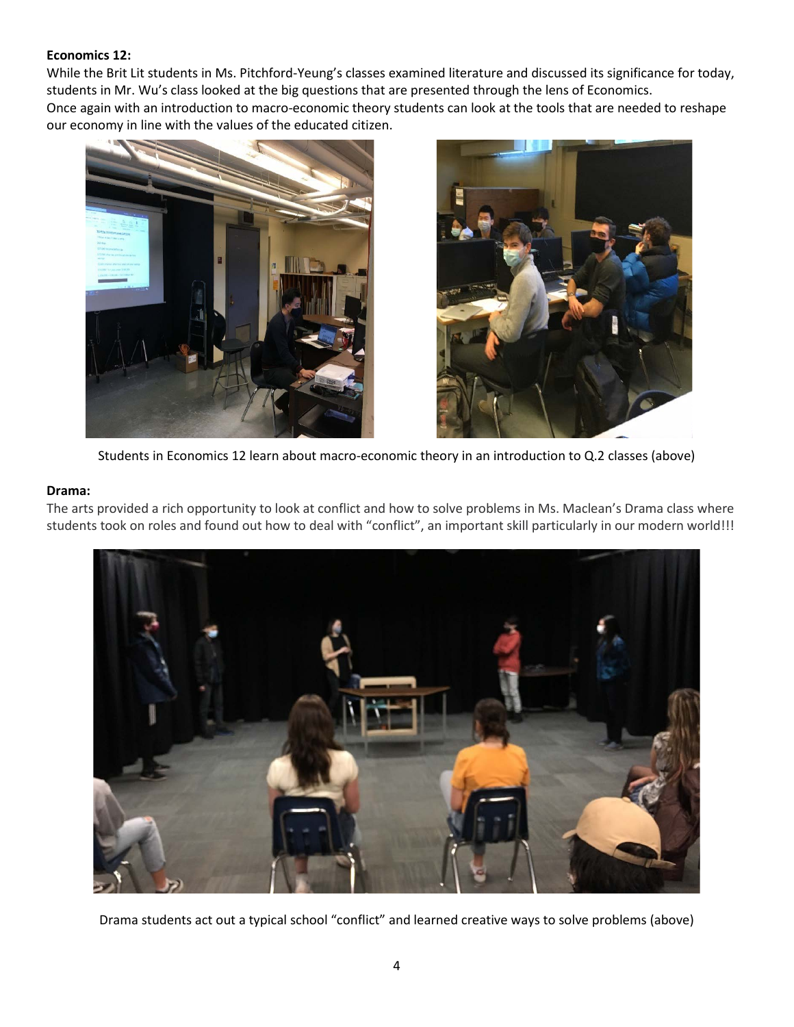# **Economics 12:**

While the Brit Lit students in Ms. Pitchford-Yeung's classes examined literature and discussed its significance for today, students in Mr. Wu's class looked at the big questions that are presented through the lens of Economics. Once again with an introduction to macro-economic theory students can look at the tools that are needed to reshape our economy in line with the values of the educated citizen.





Students in Economics 12 learn about macro-economic theory in an introduction to Q.2 classes (above)

#### **Drama:**

The arts provided a rich opportunity to look at conflict and how to solve problems in Ms. Maclean's Drama class where students took on roles and found out how to deal with "conflict", an important skill particularly in our modern world!!!



Drama students act out a typical school "conflict" and learned creative ways to solve problems (above)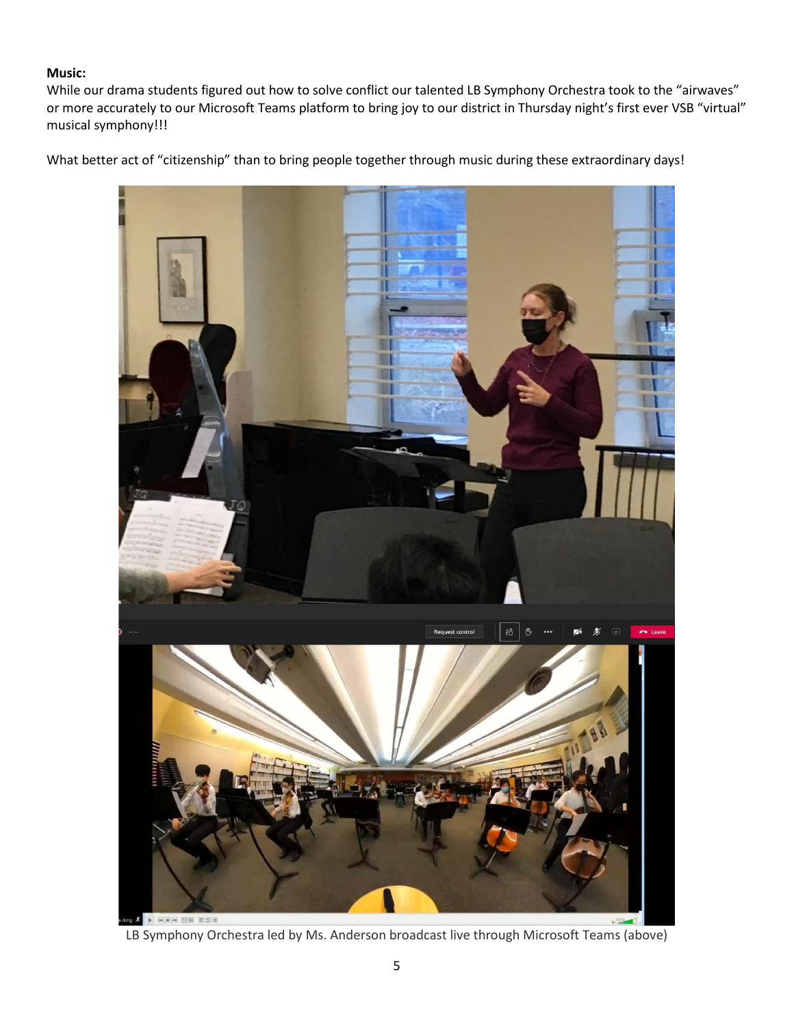# **Music:**

While our drama students figured out how to solve conflict our talented LB Symphony Orchestra took to the "airwaves" or more accurately to our Microsoft Teams platform to bring joy to our district in Thursday night's first ever VSB "virtual" musical symphony!!!

What better act of "citizenship" than to bring people together through music during these extraordinary days!



LB Symphony Orchestra led by Ms. Anderson broadcast live through Microsoft Teams (above)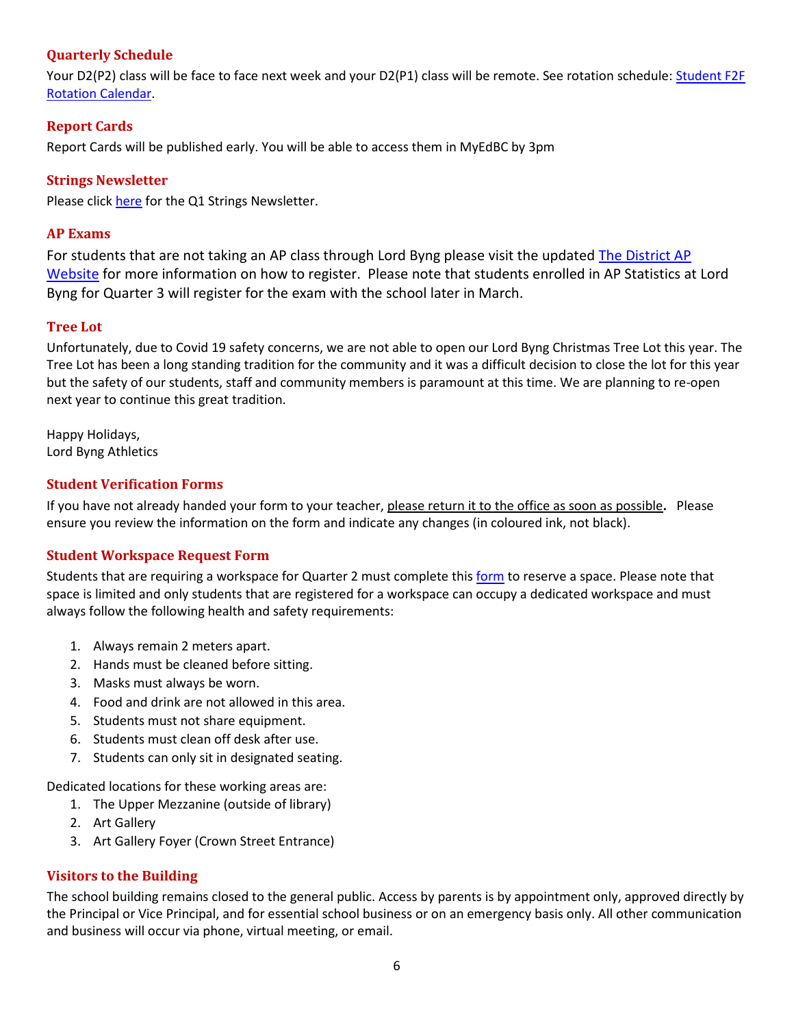# <span id="page-5-0"></span>**Quarterly Schedule**

Your D2(P2) class will be face to face next week and your D2(P1) class will be remote. See rotation schedule: Student F2F [Rotation Calendar.](https://www.vsb.bc.ca/repository/SBAttachments/8e11130a-23bc-4157-9294-1c252018cc4d_STUDENTF2FandRemoteBlockCalendar2020-2021.pdf)

# <span id="page-5-1"></span>**Report Cards**

Report Cards will be published early. You will be able to access them in MyEdBC by 3pm

## **Strings Newsletter**

<span id="page-5-2"></span>Please click [here](https://www.vsb.bc.ca/repository/SBAttachments/755ff178-255b-4d0d-a9fe-861678c098b2_BYNGSTRINGSNEWSLETTERQ1.pdf) for the Q1 Strings Newsletter.

## **AP Exams**

For students that are not taking an AP class through Lord Byng please visit the updated The District AP [Website](https://www.vsb.bc.ca/Student_Learning/Secondary/Advanced_Placement_Exams/Pages/Default.aspx) for more information on how to register. Please note that students enrolled in AP Statistics at Lord Byng for Quarter 3 will register for the exam with the school later in March.

## <span id="page-5-3"></span>**Tree Lot**

Unfortunately, due to Covid 19 safety concerns, we are not able to open our Lord Byng Christmas Tree Lot this year. The Tree Lot has been a long standing tradition for the community and it was a difficult decision to close the lot for this year but the safety of our students, staff and community members is paramount at this time. We are planning to re-open next year to continue this great tradition.

Happy Holidays, Lord Byng Athletics

# <span id="page-5-4"></span>**Student Verification Forms**

If you have not already handed your form to your teacher, please return it to the office as soon as possible**.** Please ensure you review the information on the form and indicate any changes (in coloured ink, not black).

# <span id="page-5-5"></span>**Student Workspace Request Form**

Students that are requiring a workspace for Quarter 2 must complete this [form](https://forms.office.com/Pages/ResponsePage.aspx?id=WC6KCzB7CEq6t9dVWeDjpcU6_SJBxJFAvnYu4EP3zdBUOE1DMDQwUkREWVY5NDZHTTI4Nk4wMzM5VC4u) to reserve a space. Please note that space is limited and only students that are registered for a workspace can occupy a dedicated workspace and must always follow the following health and safety requirements:

- 1. Always remain 2 meters apart.
- 2. Hands must be cleaned before sitting.
- 3. Masks must always be worn.
- 4. Food and drink are not allowed in this area.
- 5. Students must not share equipment.
- 6. Students must clean off desk after use.
- 7. Students can only sit in designated seating.

Dedicated locations for these working areas are:

- 1. The Upper Mezzanine (outside of library)
- 2. Art Gallery
- 3. Art Gallery Foyer (Crown Street Entrance)

# <span id="page-5-6"></span>**Visitors to the Building**

The school building remains closed to the general public. Access by parents is by appointment only, approved directly by the Principal or Vice Principal, and for essential school business or on an emergency basis only. All other communication and business will occur via phone, virtual meeting, or email.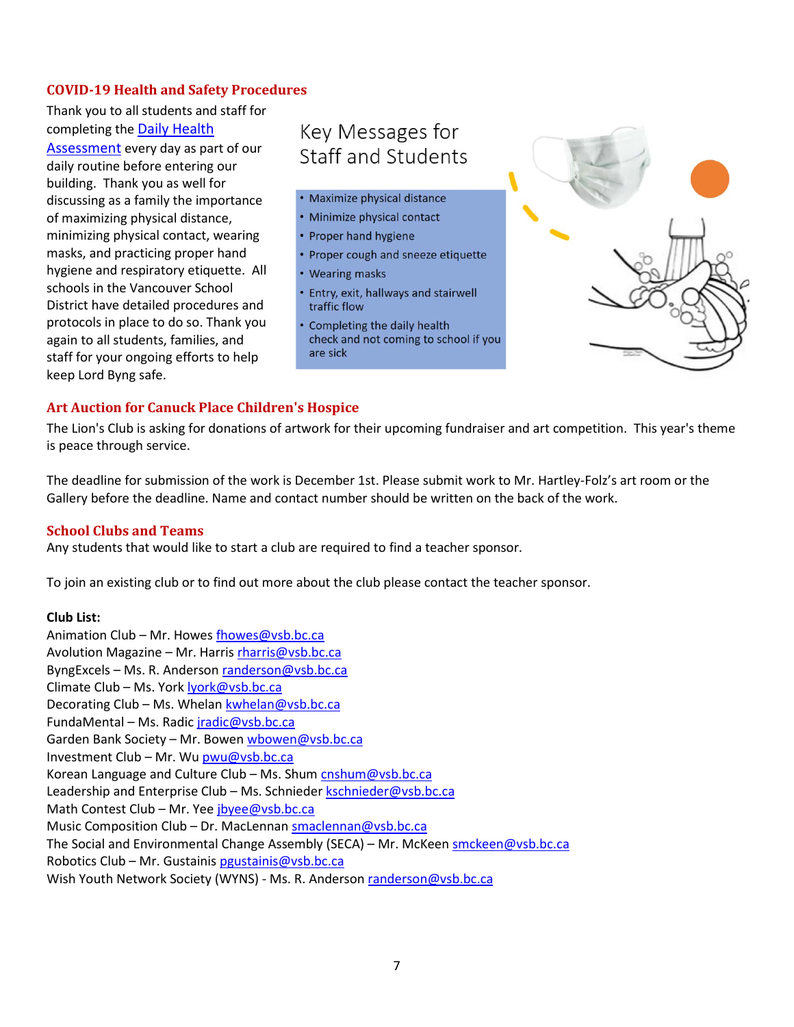# <span id="page-6-0"></span>**COVID-19 Health and Safety Procedures**

Thank you to all students and staff for completing the [Daily Health](https://www.vsb.bc.ca/repository/SBAttachments/8e11130a-23bc-4157-9294-1c252018cc4d_DailyHealthAssessment-Student_Sept15003.pdf)  [Assessment](https://www.vsb.bc.ca/repository/SBAttachments/8e11130a-23bc-4157-9294-1c252018cc4d_DailyHealthAssessment-Student_Sept15003.pdf) every day as part of our daily routine before entering our building. Thank you as well for discussing as a family the importance of maximizing physical distance, minimizing physical contact, wearing masks, and practicing proper hand hygiene and respiratory etiquette. All schools in the Vancouver School District have detailed procedures and protocols in place to do so. Thank you again to all students, families, and staff for your ongoing efforts to help keep Lord Byng safe.

# Key Messages for Staff and Students

- · Maximize physical distance
- Minimize physical contact
- Proper hand hygiene
- Proper cough and sneeze etiquette
- **Wearing masks**
- Entry, exit, hallways and stairwell traffic flow
- Completing the daily health check and not coming to school if you are sick



## <span id="page-6-1"></span>**Art Auction for Canuck Place Children's Hospice**

The Lion's Club is asking for donations of artwork for their upcoming fundraiser and art competition. This year's theme is peace through service.

The deadline for submission of the work is December 1st. Please submit work to Mr. Hartley-Folz's art room or the Gallery before the deadline. Name and contact number should be written on the back of the work.

#### <span id="page-6-2"></span>**School Clubs and Teams**

Any students that would like to start a club are required to find a teacher sponsor.

To join an existing club or to find out more about the club please contact the teacher sponsor.

#### **Club List:**

Animation Club - Mr. Howe[s fhowes@vsb.bc.ca](mailto:fhowes@vsb.bc.ca) Avolution Magazine – Mr. Harris [rharris@vsb.bc.ca](mailto:rharris@vsb.bc.ca) ByngExcels – Ms. R. Anderson [randerson@vsb.bc.ca](mailto:randerson@vsb.bc.ca) Climate Club – Ms. Yor[k lyork@vsb.bc.ca](mailto:lyork@vsb.bc.ca) Decorating Club – Ms. Whelan [kwhelan@vsb.bc.ca](mailto:kwhelan@vsb.bc.ca) FundaMental – Ms. Radic [jradic@vsb.bc.ca](mailto:jradic@vsb.bc.ca) Garden Bank Society - Mr. Bowe[n wbowen@vsb.bc.ca](mailto:wbowen@vsb.bc.ca) Investment Club – Mr. Wu [pwu@vsb.bc.ca](mailto:pwu@vsb.bc.ca) Korean Language and Culture Club – Ms. Shum [cnshum@vsb.bc.ca](mailto:cnshum@vsb.bc.ca) Leadership and Enterprise Club - Ms. Schniede[r kschnieder@vsb.bc.ca](mailto:kschnieder@vsb.bc.ca) Math Contest Club – Mr. Yee [jbyee@vsb.bc.ca](mailto:jbyee@vsb.bc.ca) Music Composition Club – Dr. MacLennan [smaclennan@vsb.bc.ca](mailto:smaclennan@vsb.bc.ca) The Social and Environmental Change Assembly (SECA) – Mr. McKeen [smckeen@vsb.bc.ca](mailto:smckeen@vsb.bc.ca) Robotics Club – Mr. Gustaini[s pgustainis@vsb.bc.ca](mailto:pgustainis@vsb.bc.ca) Wish Youth Network Society (WYNS) - Ms. R. Anderson [randerson@vsb.bc.ca](mailto:randerson@vsb.bc.ca)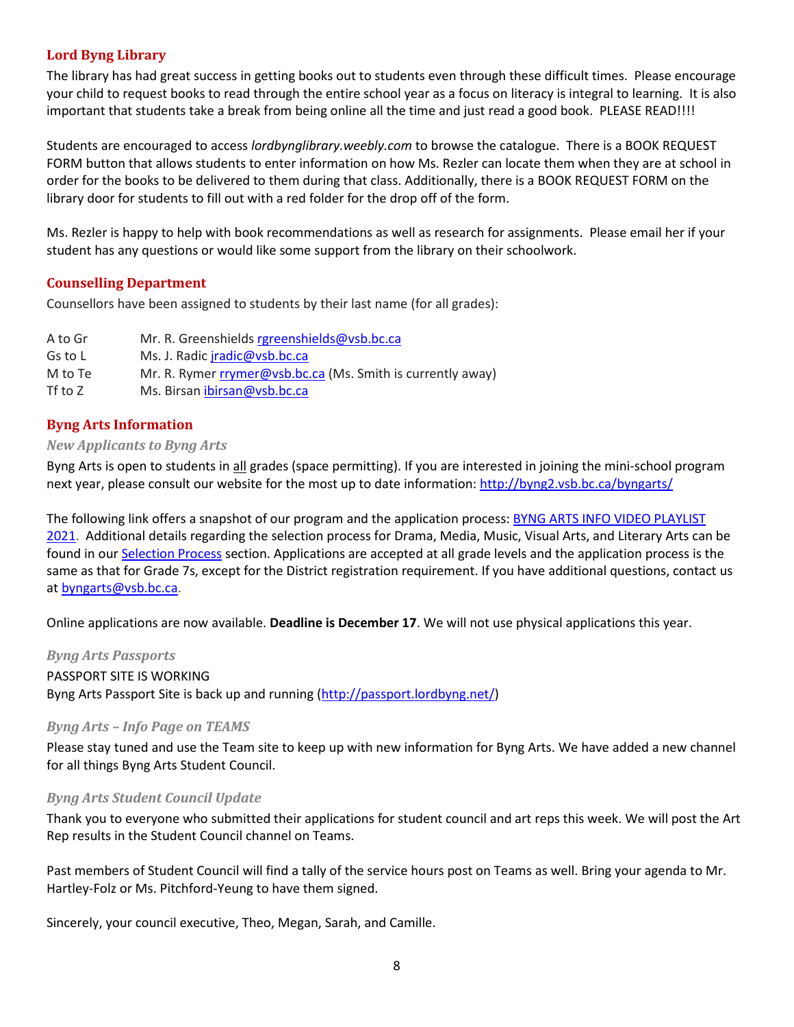# <span id="page-7-0"></span>**Lord Byng Library**

The library has had great success in getting books out to students even through these difficult times. Please encourage your child to request books to read through the entire school year as a focus on literacy is integral to learning. It is also important that students take a break from being online all the time and just read a good book. PLEASE READ!!!!

Students are encouraged to access *lordbynglibrary.weebly.com* to browse the catalogue. There is a BOOK REQUEST FORM button that allows students to enter information on how Ms. Rezler can locate them when they are at school in order for the books to be delivered to them during that class. Additionally, there is a BOOK REQUEST FORM on the library door for students to fill out with a red folder for the drop off of the form.

Ms. Rezler is happy to help with book recommendations as well as research for assignments. Please email her if your student has any questions or would like some support from the library on their schoolwork.

#### <span id="page-7-1"></span>**Counselling Department**

Counsellors have been assigned to students by their last name (for all grades):

| A to Gr | Mr. R. Greenshields rgreenshields@vsb.bc.ca                 |
|---------|-------------------------------------------------------------|
| Gs to L | Ms. J. Radic <i>iradic@vsb.bc.ca</i>                        |
| M to Te | Mr. R. Rymer rrymer@vsb.bc.ca (Ms. Smith is currently away) |
| Tf to Z | Ms. Birsan ibirsan@vsb.bc.ca                                |

#### <span id="page-7-2"></span>**Byng Arts Information**

#### <span id="page-7-3"></span>*New Applicants to Byng Arts*

Byng Arts is open to students in all grades (space permitting). If you are interested in joining the mini-school program next year, please consult our website for the most up to date information:<http://byng2.vsb.bc.ca/byngarts/>

The following link offers a snapshot of our program and the application process: **BYNG ARTS INFO VIDEO [PLAYLIST](https://www.youtube.com/playlist?list=PL5Gi7bfgibeqtAguBYDrs3O4XfXJh63Er)** [2021.](https://www.youtube.com/playlist?list=PL5Gi7bfgibeqtAguBYDrs3O4XfXJh63Er) Additional details regarding the selection process for Drama, Media, Music, Visual Arts, and Literary Arts can be found in our [Selection](http://byng2.vsb.bc.ca/byngarts/sProcess.html) Process section. Applications are accepted at all grade levels and the application process is the same as that for Grade 7s, except for the District registration requirement. If you have additional questions, contact us at [byngarts@vsb.bc.ca.](mailto:byngarts@vsb.bc.ca)

<span id="page-7-4"></span>Online applications are now available. **Deadline is December 17**. We will not use physical applications this year.

*Byng Arts Passports*  PASSPORT SITE IS WORKING Byng Arts Passport Site is back up and running [\(http://passport.lordbyng.net/\)](http://passport.lordbyng.net/)

#### <span id="page-7-5"></span>*Byng Arts – Info Page on TEAMS*

Please stay tuned and use the Team site to keep up with new information for Byng Arts. We have added a new channel for all things Byng Arts Student Council.

#### <span id="page-7-6"></span>*Byng Arts Student Council Update*

Thank you to everyone who submitted their applications for student council and art reps this week. We will post the Art Rep results in the Student Council channel on Teams.

Past members of Student Council will find a tally of the service hours post on Teams as well. Bring your agenda to Mr. Hartley-Folz or Ms. Pitchford-Yeung to have them signed.

Sincerely, your council executive, Theo, Megan, Sarah, and Camille.